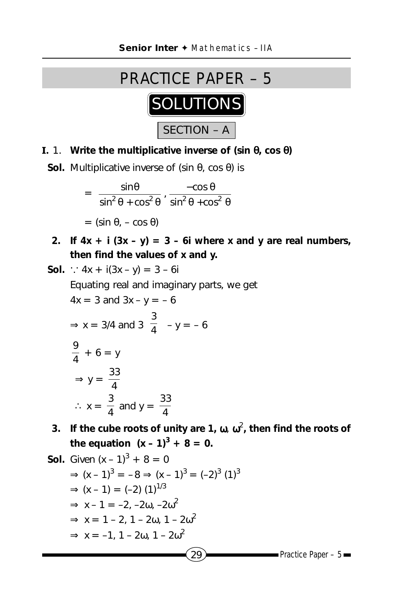## SECTION – A PRACTICE PAPER – 5 **SOLUTIONS**

**I.** 1. **Write the multiplicative inverse of (sin** θ**, cos** θ**)**

**Sol.** Multiplicative inverse of (sin θ, cos θ) is

$$
= \left(\frac{\sin\theta}{\sin^2\theta + \cos^2\theta}, \frac{-\cos\theta}{\sin^2\theta + \cos^2\theta}\right)
$$

$$
= (\sin\theta, -\cos\theta)
$$

2. If  $4x + i(3x - y) = 3 - 6i$  where x and y are real numbers, **then find the values of x and y.**

Sol. 
$$
\therefore
$$
  $4x + i(3x - y) = 3 - 6i$ 

\nEquating real and imaginary parts, we get

\n $4x = 3$  and  $3x - y = -6$ \n $\Rightarrow$   $x = 3/4$  and  $3\left(\frac{3}{4}\right) - y = -6$ \n $\frac{9}{4} + 6 = y$ \n $\Rightarrow$   $y = \frac{33}{4}$ \n $\therefore$   $x = \frac{3}{4}$  and  $y = \frac{33}{4}$ \n3. If the cube roots of, we get

\n $x = \frac{3}{4}$  and  $y = \frac{33}{4}$ \n4. If the cube roots of the equation  $(x - 1)^3 + 8 = 0$ .

**Sol.** Given 
$$
(x - 1)^3 + 8 = 0
$$
  
\n⇒  $(x - 1)^3 = -8$  ⇒  $(x - 1)^3 = (-2)^3 (1)^3$   
\n⇒  $(x - 1) = (-2) (1)^{1/3}$   
\n⇒  $x - 1 = -2, -2\omega, -2\omega^2$   
\n⇒  $x = 1 - 2, 1 - 2\omega, 1 - 2\omega^2$   
\n⇒  $x = -1, 1 - 2\omega, 1 - 2\omega^2$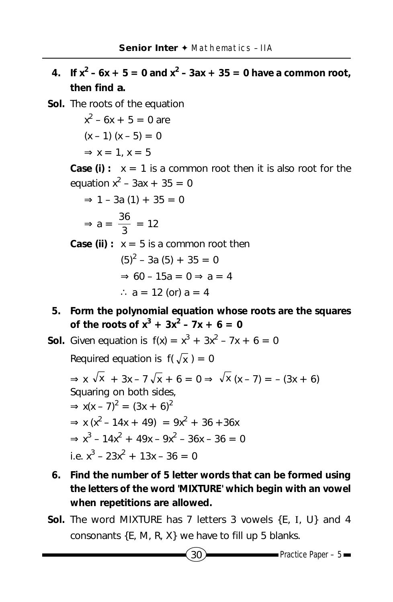**4.** If  $x^2 - 6x + 5 = 0$  and  $x^2 - 3ax + 35 = 0$  have a common root, **then find** *a***.**

**Sol.** The roots of the equation

 $x^2 - 6x + 5 = 0$  are  $(x - 1)(x - 5) = 0$  $\Rightarrow$  x = 1, x = 5 **Case (i)**:  $x = 1$  is a common root then it is also root for the equation  $x^2 - 3ax + 35 = 0$  $\Rightarrow$  1 – 3a (1) + 35 = 0  $\Rightarrow$  a =  $\frac{36}{3}$  = 12 **Case (ii)**:  $x = 5$  is a common root then  $(5)^{2}$  – 3a (5) + 35 = 0  $\Rightarrow 60 - 15a = 0 \Rightarrow a = 4$ ∴  $a = 12$  (or)  $a = 4$ 

**5. Form the polynomial equation whose roots are the squares of the roots of**  $x^3 + 3x^2 - 7x + 6 = 0$ 

**Sol.** Given equation is  $f(x) = x^3 + 3x^2 - 7x + 6 = 0$ 

Required equation is  $f(\sqrt{x}) = 0$ 

 $\Rightarrow$  x  $\sqrt{x}$  + 3x – 7 $\sqrt{x}$  + 6 = 0  $\Rightarrow$   $\sqrt{x}$  (x – 7) = – (3x + 6) Squaring on both sides,  $\Rightarrow$  x(x – 7)<sup>2</sup> = (3x + 6)<sup>2</sup>  $\Rightarrow$  x (x<sup>2</sup> – 14x + 49) = 9x<sup>2</sup> + 36 + 36x  $\Rightarrow$  x<sup>3</sup> - 14x<sup>2</sup> + 49x - 9x<sup>2</sup> - 36x - 36 = 0 i.e.  $x^3 - 23x^2 + 13x - 36 = 0$ 

- **6. Find the number of 5 letter words that can be formed using the letters of the word 'MIXTURE' which begin with an vowel when repetitions are allowed.**
- **Sol.** The word MIXTURE has 7 letters 3 vowels {E, I, U} and 4 consonants {E, M, R, X} we have to fill up 5 blanks.

$$
30
$$

 $P$ ractice Paper – 5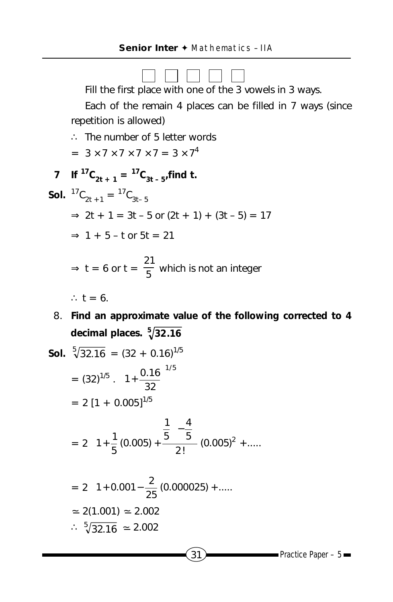

8. **Find an approximate value of the following corrected to 4 decimal places. <sup>5</sup> 32.16**

**Sol.** 
$$
\sqrt[5]{32.16} = (32 + 0.16)^{1/5}
$$

$$
= (32)^{1/5} \cdot \left(1 + \frac{0.16}{32}\right)^{1/5}
$$

$$
= 2 [1 + 0.005]^{1/5}
$$

$$
= 2 \left[1 + \frac{1}{5}(0.005) + \frac{\frac{1}{5}(-\frac{4}{5})}{2!}(0.005)^2 + \dots \right]
$$

$$
= 2 \left[1 + 0.001 - \frac{2}{25}(0.000025) + \dots \right]
$$

$$
= 2(1.001) = 2.002
$$

$$
\therefore \sqrt[5]{32.16} = 2.002
$$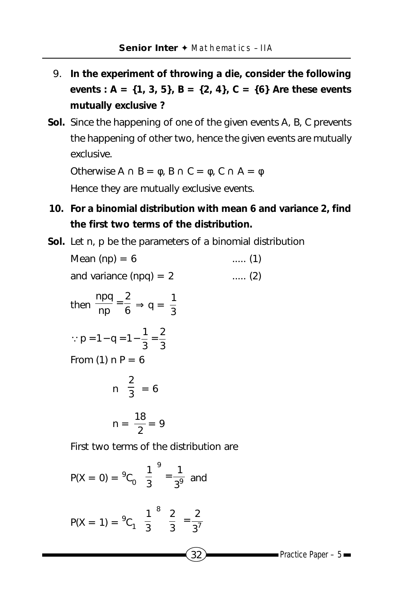- 9. **In the experiment of throwing a die, consider the following events : A = {1, 3, 5}, B = {2, 4}, C = {6} Are these events mutually exclusive ?**
- **Sol.** Since the happening of one of the given events A, B, C prevents the happening of other two, hence the given events are mutually exclusive.

Otherwise  $A \cap B = \phi$ ,  $B \cap C = \phi$ ,  $C \cap A = \phi$ 

Hence they are mutually exclusive events.

- **10. For a binomial distribution with mean 6 and variance 2, find the first two terms of the distribution.**
- **Sol.** Let n, p be the parameters of a binomial distribution

| Mean $(np) = 6$                                                             | $(1)$        |
|-----------------------------------------------------------------------------|--------------|
| and variance (npq) = $2$                                                    | $\ldots$ (2) |
| then $\frac{npq}{np} = \frac{2}{6} \Rightarrow q = \frac{1}{3}$             |              |
| : $p = 1 - q = 1 - \frac{1}{3} = \frac{2}{3}$                               |              |
| From $(1)$ n P = 6                                                          |              |
| $n\left(\frac{2}{3}\right)=6$                                               |              |
| $n = \frac{18}{2} = 9$                                                      |              |
| First two terms of the distribution are                                     |              |
| $P(X = 0) = {}^{9}C_{0} \left(\frac{1}{3}\right)^{9} = \frac{1}{3^{9}}$ and |              |

P(X = 0) = <sup>9</sup>C<sub>0</sub> 
$$
\left(\frac{1}{3}\right)^5 = \frac{1}{3^9}
$$
 and  
P(X = 1) = <sup>9</sup>C<sub>1</sub>  $\left(\frac{1}{3}\right)^8 \left(\frac{2}{3}\right) = \frac{2}{3^7}$   
Q32  
Practice Paper - 5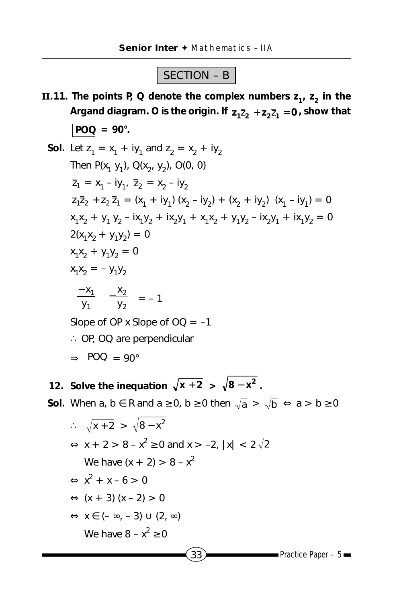## SECTION – B

- **II.11.** The points P, Q denote the complex numbers  $z_1$ ,  $z_2$  in the Argand diagram. O is the origin. If  $z_1\overline{z}_2 + z_2\overline{z}_1 = 0$ , show that  $|POQ = 90^{\circ}.$ 
	- **Sol.** Let  $z_1 = x_1 + iy_1$  and  $z_2 = x_2 + iy_2$ Then  $P(x_1, y_1)$ ,  $Q(x_2, y_2)$ ,  $Q(0, 0)$  $\overline{z}_1 = x_1 - iy_1$ ,  $\overline{z}_2 = x_2 - iy_2$  $2_1\overline{2}_2 + 2_2\overline{2}_1 = (x_1 + iy_1)(x_2 - iy_2) + (x_2 + iy_2)(x_1 - iy_1) = 0$  $x_1x_2 + y_1 y_2 - i x_1y_2 + i x_2y_1 + x_1x_2 + y_1y_2 - i x_2y_1 + i x_1y_2 = 0$  $2(x_1x_2 + y_1y_2) = 0$  $x_1x_2 + y_1y_2 = 0$  $x_1x_2 = -y_1y_2$   $\overline{)}$  $\overline{a}$  $\overline{\phantom{a}}$ l − 1 1 y x  $\overline{\phantom{a}}$  $\big)$  $\left( \right)$  $\overline{\phantom{a}}$ l − 2 2 y x  $= -1$ Slope of OP x Slope of  $OQ = -1$ ∴ OP, OQ are perpendicular  $\Rightarrow$  POQ = 90°

**12.** Solve the inequation  $\sqrt{x+2} > \sqrt{8-x^2}$ .

**Sol.** When  $a, b \in R$  and  $a \ge 0$ ,  $b \ge 0$  then  $\sqrt{a} > \sqrt{b} \Leftrightarrow a > b \ge 0$ 

$$
\therefore \sqrt{x+2} > \sqrt{8-x^2}
$$
  
\n
$$
\Leftrightarrow x + 2 > 8 - x^2 \ge 0 \text{ and } x > -2, |x| < 2\sqrt{2}
$$
  
\nWe have  $(x + 2) > 8 - x^2$   
\n
$$
\Leftrightarrow x^2 + x - 6 > 0
$$
  
\n
$$
\Leftrightarrow (x + 3) (x - 2) > 0
$$
  
\n
$$
\Leftrightarrow x \in (-\infty, -3) \cup (2, \infty)
$$
  
\nWe have  $8 - x^2 \ge 0$   
\n33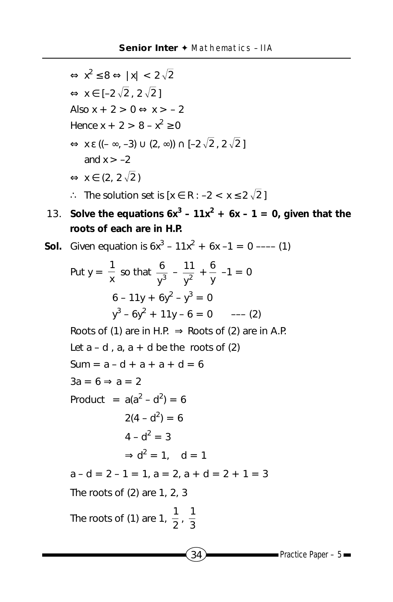$$
\Leftrightarrow x^2 \le 8 \Leftrightarrow |x| < 2\sqrt{2}
$$
\n
$$
\Leftrightarrow x \in [-2\sqrt{2}, 2\sqrt{2}]
$$
\nAlso  $x + 2 > 0 \Leftrightarrow x > -2$   
\nHence  $x + 2 > 8 - x^2 \ge 0$   
\n
$$
\Leftrightarrow x \in ((-\infty, -3) \cup (2, \infty)) \cap [-2\sqrt{2}, 2\sqrt{2}]
$$
\nand  $x > -2$   
\n
$$
\Leftrightarrow x \in (2, 2\sqrt{2})
$$
\n
$$
\therefore \text{ The solution set is } [x \in \mathbb{R} : -2 < x \le 2\sqrt{2}]
$$

**13.** Solve the equations  $6x^3 - 11x^2 + 6x - 1 = 0$ , given that the **roots of each are in H.P.**

**Sol.** Given equation is 
$$
6x^3 - 11x^2 + 6x - 1 = 0
$$
 --- (1)

Put 
$$
y = \frac{1}{x}
$$
 so that  $\frac{6}{y^3} - \frac{11}{y^2} + \frac{6}{y} -1 = 0$   
\n $6 - 11y + 6y^2 - y^3 = 0$   
\n $y^3 - 6y^2 + 11y - 6 = 0$  --- (2)  
\nRoots of (1) are in H.P.  $\Rightarrow$  Roots of (2) are in A.P.  
\nLet  $a - d$ ,  $a$ ,  $a + d$  be the roots of (2)  
\nSum =  $a - d + a + a + d = 6$   
\n $3a = 6 \Rightarrow a = 2$   
\nProduct =  $a(a^2 - d^2) = 6$   
\n $2(4 - d^2) = 6$   
\n $4 - d^2 = 3$   
\n $\Rightarrow d^2 = 1$ ,  $d = 1$   
\n $a - d = 2 - 1 = 1$ ,  $a = 2$ ,  $a + d = 2 + 1 = 3$   
\nThe roots of (2) are 1, 2, 3  
\nThe roots of (1) are  $1, \frac{1}{2}, \frac{1}{3}$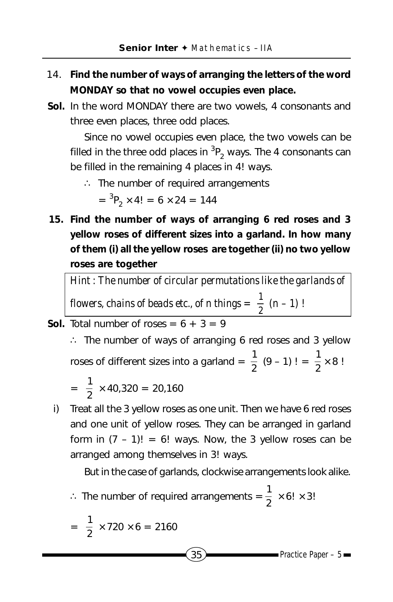- 14. **Find the number of ways of arranging the letters of the word MONDAY so that no vowel occupies even place.**
- **Sol.** In the word MONDAY there are two vowels, 4 consonants and three even places, three odd places.

Since no vowel occupies even place, the two vowels can be filled in the three odd places in  $^3{\mathsf P}_2$  ways. The 4 consonants can be filled in the remaining 4 places in 4! ways.

∴ The number of required arrangements

$$
= {}^{3}P_{2} \times 4! = 6 \times 24 = 144
$$

**15. Find the number of ways of arranging 6 red roses and 3 yellow roses of different sizes into a garland. In how many of them (i) all the yellow roses are together (ii) no two yellow roses are together**

*Hint : The number of circular permutations like the garlands of flowers, chains of beads etc., of n things =*  $\frac{1}{2}$  *(n – 1)*!

**Sol.** Total number of roses =  $6 + 3 = 9$ 

∴ The number of ways of arranging 6 red roses and 3 yellow roses of different sizes into a garland =  $\frac{1}{2}$  (9 – 1)! =  $\frac{1}{2} \times 8$ !

$$
= \frac{1}{2} \times 40,320 = 20,160
$$

i) Treat all the 3 yellow roses as one unit. Then we have 6 red roses and one unit of yellow roses. They can be arranged in garland form in  $(7 - 1)! = 6!$  ways. Now, the 3 yellow roses can be arranged among themselves in 3! ways.

But in the case of garlands, clockwise arrangements look alike.

∴ The number of required arrangements  $=$   $\frac{1}{2} \times 6! \times 3!$ 

$$
= \frac{1}{2} \times 720 \times 6 = 2160
$$

 $35$  Practice Paper – 5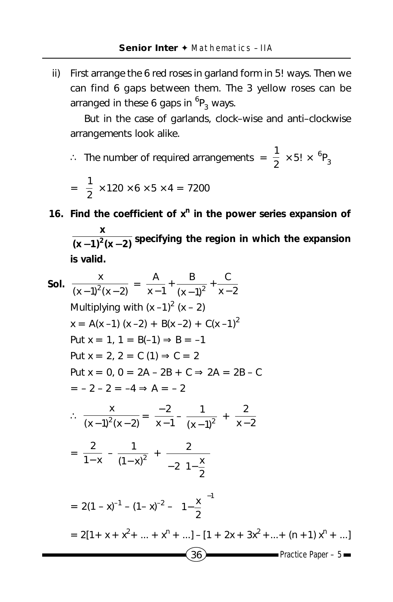ii) First arrange the 6 red roses in garland form in 5! ways. Then we can find 6 gaps between them. The 3 yellow roses can be arranged in these 6 gaps in  ${}^6P_3$  ways.

But in the case of garlands, clock–wise and anti–clockwise arrangements look alike.

$$
\therefore
$$
 The number of required arrangements =  $\frac{1}{2} \times 5! \times {}^{6}P_{3}$ 

$$
= \frac{1}{2} \times 120 \times 6 \times 5 \times 4 = 7200
$$

**16. Find the coefficient of x<sup>n</sup> in the power series expansion of**  $(x-1)^2(x-2)$ **x**  $\frac{1}{2}$  −1)<sup>2</sup>(x−2) specifying the region in which the expansion **is valid.**

Sol. 
$$
\frac{x}{(x-1)^2(x-2)} = \frac{A}{x-1} + \frac{B}{(x-1)^2} + \frac{C}{x-2}
$$

\nMultiplying with  $(x-1)^2(x-2)$ 

\n $x = A(x-1) (x-2) + B(x-2) + C(x-1)^2$ 

\nPut  $x = 1, 1 = B(-1) \Rightarrow B = -1$ 

\nPut  $x = 2, 2 = C(1) \Rightarrow C = 2$ 

\nPut  $x = 0, 0 = 2A - 2B + C \Rightarrow 2A = 2B - C$ 

\n $= -2 - 2 = -4 \Rightarrow A = -2$ 

\n $\therefore \frac{x}{(x-1)^2(x-2)} = \frac{-2}{x-1} - \frac{1}{(x-1)^2} + \frac{2}{x-2}$ 

\n $= \frac{2}{1-x} - \frac{1}{(1-x)^2} + \frac{2}{-2(1-\frac{x}{2})}$ 

\n $= 2(1-x)^{-1} - (1-x)^{-2} - (1-\frac{x}{2})^{-1}$ 

\n $= 2[1 + x + x^2 + \dots + x^n + \dots] - [1 + 2x + 3x^2 + \dots + (n + 1)x^n + \dots]$ 

\n $\boxed{36}$ 

\nPractice Paper - 5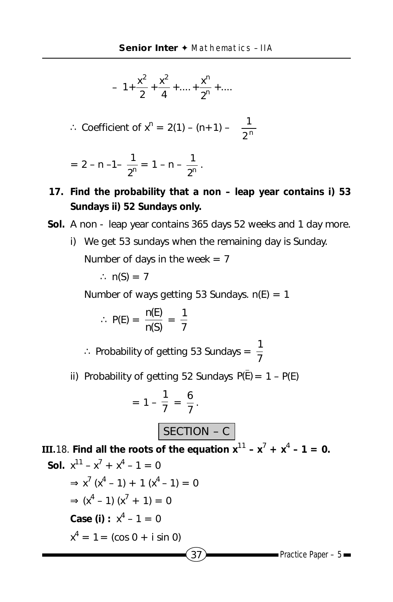$$
-\left[1+\frac{x^2}{2}+\frac{x^2}{4}+\ldots+\frac{x^n}{2^n}+\ldots\right]
$$

∴ Coefficient of 
$$
x^n = 2(1) - (n+1) - \left(\frac{1}{2^n}\right)
$$

$$
= 2 - n - 1 - \frac{1}{2^n} = 1 - n - \frac{1}{2^n}.
$$

- **17. Find the probability that a non leap year contains i) 53 Sundays ii) 52 Sundays only.**
- **Sol.** A non leap year contains 365 days 52 weeks and 1 day more.
	- i) We get 53 sundays when the remaining day is Sunday. Number of days in the week  $= 7$

$$
\therefore n(S) = 7
$$

Number of ways getting 53 Sundays.  $n(E) = 1$ 

$$
\therefore P(E) = \frac{n(E)}{n(S)} = \frac{1}{7}
$$

∴ Probability of getting 53 Sundays =  $\frac{1}{7}$ 

ii) Probability of getting 52 Sundays  $P(\overline{E}) = 1 - P(E)$ 

$$
= 1 - \frac{1}{7} = \frac{6}{7}.
$$
  
**SECTION - C**

 $37$  Practice Paper – 5 **III.18.** Find all the roots of the equation  $x^{11} - x^7 + x^4 - 1 = 0$ . **Sol.**  $x^{11} - x^7 + x^4 - 1 = 0$  $\Rightarrow$  x<sup>7</sup> (x<sup>4</sup> - 1) + 1 (x<sup>4</sup> - 1) = 0  $\Rightarrow$  (x<sup>4</sup> - 1) (x<sup>7</sup> + 1) = 0  $Case (i): x<sup>4</sup> - 1 = 0$  $x^4 = 1 = (\cos 0 + i \sin 0)$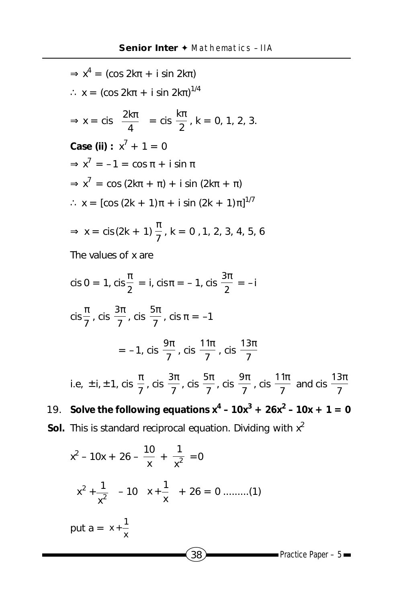$\Rightarrow$  x<sup>4</sup> = (cos 2k $\pi$  + i sin 2k $\pi$ )  $\therefore$  x = (cos 2kπ + i sin 2kπ)<sup>1/4</sup>  $\Rightarrow$  x = cis  $\frac{2\pi}{4}$  $\overline{1}$  $\left(\frac{2k\pi}{4}\right)^{n}$ l ( 2kπ  $\left(\frac{2k\pi}{4}\right)$  = cis  $\frac{k\pi}{2}$ , k = 0, 1, 2, 3.  $Case (ii): x^7 + 1 = 0$  $\Rightarrow$  x<sup>7</sup> = -1 = cos  $\pi$  + i sin  $\pi$  $\Rightarrow$  x<sup>7</sup> = cos (2k $\pi$  +  $\pi$ ) + i sin (2k $\pi$  +  $\pi$ )  $\therefore$  x = [cos (2k + 1)π + i sin (2k + 1)π]<sup>1/7</sup> ⇒ x = cis (2k + 1)  $\frac{\pi}{7}$ , k = 0, 1, 2, 3, 4, 5, 6 The values of x are cis 0 = 1, cis  $\frac{\pi}{2}$  = i, cis  $\pi$  = -1, cis  $\frac{3\pi}{2}$  = -i cis  $\frac{\pi}{7}$ , cis  $\frac{3\pi}{7}$ , cis  $\frac{5\pi}{7}$ , cis  $\pi = -1$  $= -1$ , cis  $\frac{1}{7}$  $9\pi$ , cis  $\frac{1}{7}$  $11π$ , cis  $\frac{1}{7}$  $13\pi$ i.e,  $\pm$  i,  $\pm$  1, cis  $\frac{\pi}{7}$ , cis  $\frac{3\pi}{7}$  $3\pi$ , cis  $\frac{1}{7}$  $5\pi$ , cis  $\frac{1}{7}$  $9\pi$ , cis  $\frac{1}{7}$  $11π$ and cis  $\frac{1}{7}$  $13\pi$ **19.** Solve the following equations  $x^4 - 10x^3 + 26x^2 - 10x + 1 = 0$ **Sol.** This is standard reciprocal equation. Dividing with  $x^2$  $10$ 

$$
x^{2} - 10x + 26 - \frac{10}{x} + \frac{1}{x^{2}} = 0
$$
\n
$$
\left(x^{2} + \frac{1}{x^{2}}\right) - 10\left(x + \frac{1}{x}\right) + 26 = 0 \dots (1)
$$
\nput  $a = x + \frac{1}{x}$ \n
$$
(38)
$$
Practice Paper - 5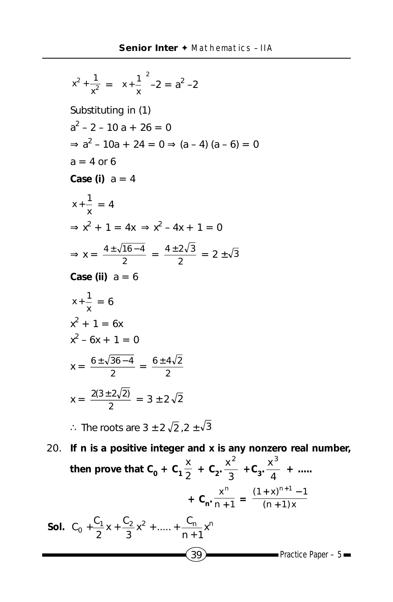$$
x^{2} + \frac{1}{x^{2}} = (x + \frac{1}{x})^{2} - 2 = a^{2} - 2
$$
  
\nSubstituting in (1)  
\n
$$
a^{2} - 2 - 10a + 26 = 0
$$
\n
$$
\Rightarrow a^{2} - 10a + 24 = 0 \Rightarrow (a - 4)(a - 6) = 0
$$
\n
$$
a = 4 \text{ or } 6
$$
\nCase (i)  $a = 4$   
\n
$$
x + \frac{1}{x} = 4
$$
\n
$$
\Rightarrow x^{2} + 1 = 4x \Rightarrow x^{2} - 4x + 1 = 0
$$
\n
$$
\Rightarrow x = \frac{4 \pm \sqrt{16 - 4}}{2} = \frac{4 \pm 2\sqrt{3}}{2} = 2 \pm \sqrt{3}
$$
\nCase (ii)  $a = 6$   
\n
$$
x + \frac{1}{x} = 6
$$
\n
$$
x^{2} + 1 = 6x
$$
\n
$$
x^{2} - 6x + 1 = 0
$$
\n
$$
x = \frac{6 \pm \sqrt{36 - 4}}{2} = \frac{6 \pm 4\sqrt{2}}{2}
$$
\n
$$
x = \frac{2(3 \pm 2\sqrt{2})}{2} = 3 \pm 2\sqrt{2}, 2 \pm \sqrt{3}
$$
\n
$$
\therefore \text{ The roots are } 3 \pm 2\sqrt{2}, 2 \pm \sqrt{3}
$$

 $(39)$  Practice Paper – 5 20. **If n is a positive integer and x is any nonzero real number,** then prove that  $C_0 + C_1 \frac{x}{2} + C_2 \frac{x^2}{3}$  $x^2$  $+C_3.\frac{R}{4}$  $\frac{x^3}{4}$  + .....  $+ C_n \cdot \frac{1}{n+1}$ xn  $\frac{1}{+1} = \frac{1}{(n+1)x}$  $(1 + x)^{n+1} - 1$ +  $+ x)^{n+1} -$ **Sol.**  $C_0 + \frac{C_1}{2}x + \frac{C_2}{3}x^2 + \dots + \frac{C_n}{n+1}x^n$  $C_0 + \frac{C_1}{2}x + \frac{C_2}{3}x^2 + \dots + \frac{C_r}{n+1}$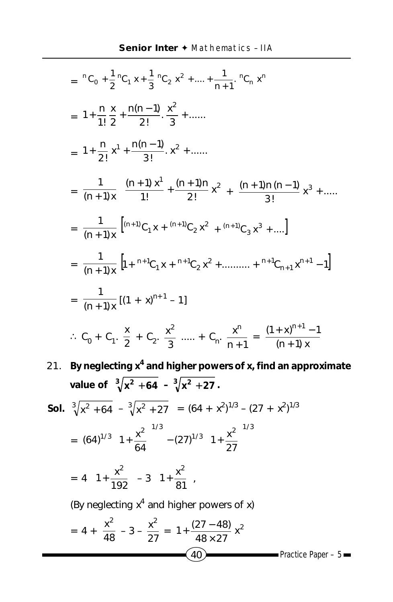$$
= {}^{n}C_{0} + \frac{1}{2} {}^{n}C_{1} x + \frac{1}{3} {}^{n}C_{2} x^{2} + .... + \frac{1}{n+1} {}^{n}C_{n} x^{n}
$$
\n
$$
= 1 + \frac{n}{1!} \frac{x}{2} + \frac{n(n-1)}{2!} \frac{x^{2}}{3} + .......
$$
\n
$$
= 1 + \frac{n}{2!} x^{1} + \frac{n(n-1)}{3!} x^{2} + .......
$$
\n
$$
= \frac{1}{(n+1)x} \left[ \frac{(n+1)x^{1}}{1!} + \frac{(n+1)n}{2!} x^{2} + \frac{(n+1)n(n-1)}{3!} x^{3} + .... \right]
$$
\n
$$
= \frac{1}{(n+1)x} \left[ {}^{n+1}C_{1} x + {}^{n+1}C_{2} x^{2} + {}^{n+1}C_{3} x^{3} + .... \right]
$$
\n
$$
= \frac{1}{(n+1)x} \left[ {}^{n+1}C_{1} x + {}^{n+1}C_{2} x^{2} + ......... + {}^{n+1}C_{n+1} x^{n+1} - 1 \right]
$$
\n
$$
= \frac{1}{(n+1)x} \left[ (1 + x)^{n+1} - 1 \right]
$$
\n
$$
\therefore C_{0} + C_{1} \cdot \frac{x}{2} + C_{2} \cdot \frac{x^{2}}{3} + .... + C_{n} \cdot \frac{x^{n}}{n+1} = \frac{(1+x)^{n+1} - 1}{(n+1)x}
$$
\n21. By neglectting  $x^{4}$  and higher powers of x, find an approximate value of  $\sqrt[3]{x^{2} + 64} - \sqrt[3]{x^{2} + 27} = (64 + x^{2})^{1/3} - (27 + x^{2})^{1/3}$ \n
$$
= (64)^{1/3} \left( 1 + \frac{x^{2}}{64} \right)^{1/3} - (27)^{1/3} \left( 1 + \frac{x^{2}}{27} \right)^{1/3}
$$
\n
$$
= 4 \left( 1 + \frac{x^{2}}{12^{2}} \right) - 3 \left( 1 + \frac{x^{2}}{81} \right).
$$
\n(By neglectting  $x^{4}$  and higher powers of x)  
\n

**Color**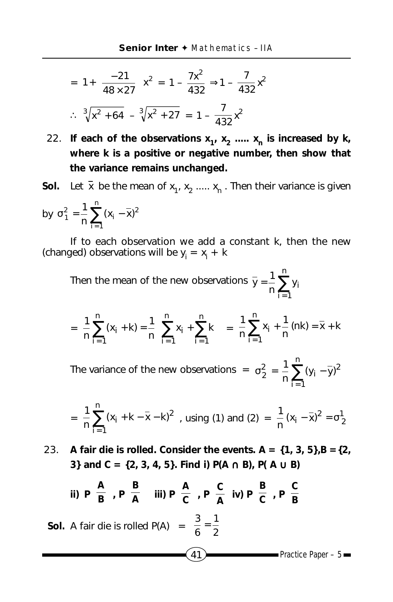$$
= 1 + \left(\frac{-21}{48 \times 27}\right) x^2 = 1 - \frac{7x^2}{432} \Rightarrow 1 - \frac{7}{432} x^2
$$

$$
\therefore \sqrt[3]{x^2 + 64} - \sqrt[3]{x^2 + 27} = 1 - \frac{7}{432} x^2
$$

- 22. If each of the observations  $x_1, x_2, \ldots, x_n$  is increased by k, **where k is a positive or negative number, then show that the variance remains unchanged.**
- **Sol.** Let  $\bar{x}$  be the mean of  $x_1, x_2, ..., x_n$ . Then their variance is given

by 
$$
\sigma_1^2 = \frac{1}{n} \sum_{i=1}^n (x_i - \bar{x})^2
$$

If to each observation we add a constant k, then the new (changed) observations will be  $y_i = x_i + k$ 

Then the mean of the new observations  $\bar{y} = \frac{1}{n} \sum_{i=1}^{n}$ = n  $i = 1$  $\frac{1}{n}\sum_{i=1}^{n}y_i$  $\bar{y} = \frac{1}{x}$ 

$$
= \frac{1}{n} \sum_{i=1}^{n} (x_i + k) = \frac{1}{n} \left[ \sum_{i=1}^{n} x_i + \sum_{i=1}^{n} k \right] = \frac{1}{n} \sum_{i=1}^{n} x_i + \frac{1}{n} (nk) = \overline{x} + k
$$

The variance of the new observations =  $\sigma_2^2 = \frac{1}{n} \sum_{i=1}^n$  $\sigma_2^2 = -2(y_1$ n  $i = 1$  $\frac{2}{2} = \frac{1}{n} \sum_{i=1}^n (y_i - \bar{y})^2$ 1

$$
= \frac{1}{n}\sum_{i=1}^{n}(x_i + k - \overline{x} - k)^2
$$
, using (1) and (2) =  $\frac{1}{n}(x_i - \overline{x})^2 = \sigma_2^1$ 

23. **A fair die is rolled. Consider the events. A = {1, 3, 5},B ={2, 3} and C = {2, 3, 4, 5}. Find i) P(A** ∩ **B), P( A** ∪ **B)**

ii) 
$$
P\left(\frac{A}{B}\right), P\left(\frac{B}{A}\right)
$$
 iii)  $P\left(\frac{A}{C}\right), P\left(\frac{C}{A}\right)$  iv)  $P\left(\frac{B}{C}\right), P\left(\frac{C}{B}\right)$ 

**Sol.** A fair die is rolled P(A)  $= \frac{3}{6} = \frac{1}{2}$  $\frac{3}{6}$  =

 $41$  Practice Paper – 5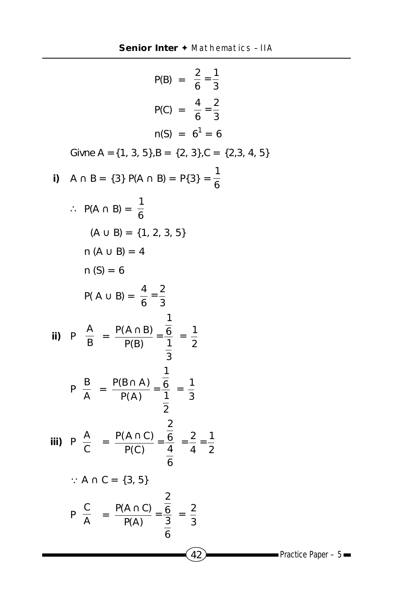|    | $P(B) = \frac{2}{6} = \frac{1}{2}$                                                                                        |                         |
|----|---------------------------------------------------------------------------------------------------------------------------|-------------------------|
|    | $P(C) = \frac{4}{6} = \frac{2}{2}$                                                                                        |                         |
|    | $n(S) = 6^1 = 6$                                                                                                          |                         |
|    | Givne A = {1, 3, 5}, B = {2, 3}, C = {2, 3, 4, 5}                                                                         |                         |
| i) | $A \cap B = \{3\} P(A \cap B) = P\{3\} = \frac{1}{6}$                                                                     |                         |
|    | $\therefore$ P(A $\cap$ B) = $\frac{1}{6}$                                                                                |                         |
|    | $(A \cup B) = \{1, 2, 3, 5\}$                                                                                             |                         |
|    | $n (A \cup B) = 4$                                                                                                        |                         |
|    | $n(S) = 6$                                                                                                                |                         |
|    | $P(A \cup B) = \frac{4}{6} = \frac{2}{3}$                                                                                 |                         |
|    | ii) $P\left(\frac{A}{B}\right) = \frac{P(A \cap B)}{P(B)} = \frac{\frac{1}{6}}{\frac{1}{2}} = \frac{1}{2}$                |                         |
|    | $P\left(\frac{B}{A}\right) = \frac{P(B \cap A)}{P(A)} = \frac{\frac{1}{6}}{\frac{1}{2}} = \frac{1}{3}$                    |                         |
|    | iii) $P\left(\frac{A}{C}\right) = \frac{P(A \cap C)}{P(C)} = \frac{\frac{2}{6}}{\frac{4}{6}} = \frac{2}{4} = \frac{1}{2}$ |                         |
|    | $\therefore$ A $\cap$ C = {3, 5}                                                                                          |                         |
|    | $P\left(\frac{C}{A}\right) = \frac{P(A \cap C)}{P(A)} = \frac{\frac{2}{6}}{\frac{3}{2}} = \frac{2}{3}$                    |                         |
|    | 42                                                                                                                        | Practice Paper $-5$ $-$ |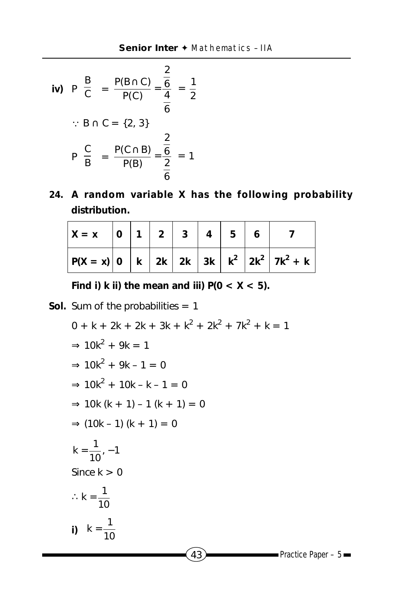iv) 
$$
P\left(\frac{B}{C}\right) = \frac{P(B \cap C)}{P(C)} = \frac{\frac{2}{6}}{\frac{4}{6}} = \frac{1}{2}
$$
  
\n $\therefore B \cap C = \{2, 3\}$   
\n $P\left(\frac{C}{B}\right) = \frac{P(C \cap B)}{P(B)} = \frac{\frac{2}{6}}{\frac{2}{6}} = 1$ 

**24. A random variable X has the following probability distribution.**

| $X = x$ |  | 0 1 2 3 4 | $5^{\circ}$ |                                                                   |
|---------|--|-----------|-------------|-------------------------------------------------------------------|
|         |  |           |             | $ P(X = x) 0 \, k \,  k  2k \,  2k  3k \, k^2 \,  2k^2  7k^2 + k$ |

Find i) k ii) the mean and iii)  $P(0 < X < 5)$ .

**Sol.** Sum of the probabilities = 1

$$
0 + k + 2k + 2k + 3k + k^{2} + 2k^{2} + 7k^{2} + k = 1
$$
  
\n
$$
\Rightarrow 10k^{2} + 9k = 1
$$
  
\n
$$
\Rightarrow 10k^{2} + 9k - 1 = 0
$$
  
\n
$$
\Rightarrow 10k(k + 1) - 1(k + 1) = 0
$$
  
\n
$$
\Rightarrow (10k - 1)(k + 1) = 0
$$
  
\n
$$
k = \frac{1}{10}, -1
$$
  
\nSince k > 0  
\n
$$
\therefore k = \frac{1}{10}
$$
  
\n
$$
i) \quad k = \frac{1}{10}
$$

 $(43)$  Practice Paper – 5